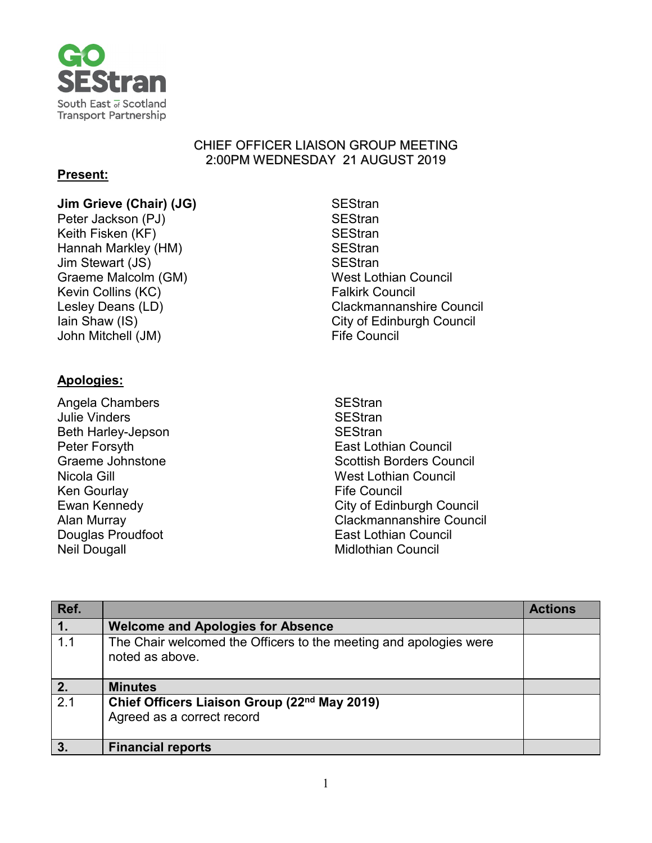

#### CHIEF OFFICER LIAISON GROUP MEETING 2:00PM WEDNESDAY 21 AUGUST 2019

## **Present:**

## **Jim Grieve (Chair) (JG)** SEStran<br>
Peter Jackson (PJ) SEStran

Peter Jackson (PJ) Keith Fisken (KF) SEStran Hannah Markley (HM) SEStran Jim Stewart (JS) SEStran Graeme Malcolm (GM) West Lothian Council Kevin Collins (KC) **Falkirk Council** John Mitchell (JM) **Fife Council** 

# Lesley Deans (LD) example and clackmannanshire Council Iain Shaw (IS) **City of Edinburgh Council**

## **Apologies:**

Angela Chambers SEStran Julie Vinders Beth Harley-Jepson SEStran Ken Gourlay **Fife Council** Neil Dougall **Midlothian Council** 

Peter Forsyth **East Lothian Council** Graeme Johnstone **Scottish Borders Council** Scottish Borders Council Nicola Gill West Lothian Council Ewan Kennedy **City of Edinburgh Council** Alan Murray Clackmannanshire Council Douglas Proudfoot **East Lothian Council** 

| Ref.           |                                                                                        | <b>Actions</b> |
|----------------|----------------------------------------------------------------------------------------|----------------|
| $\mathbf{1}$ . | <b>Welcome and Apologies for Absence</b>                                               |                |
| 1.1            | The Chair welcomed the Officers to the meeting and apologies were<br>noted as above.   |                |
| 2.             | <b>Minutes</b>                                                                         |                |
| 2.1            | Chief Officers Liaison Group (22 <sup>nd</sup> May 2019)<br>Agreed as a correct record |                |
| 3 <sub>1</sub> | <b>Financial reports</b>                                                               |                |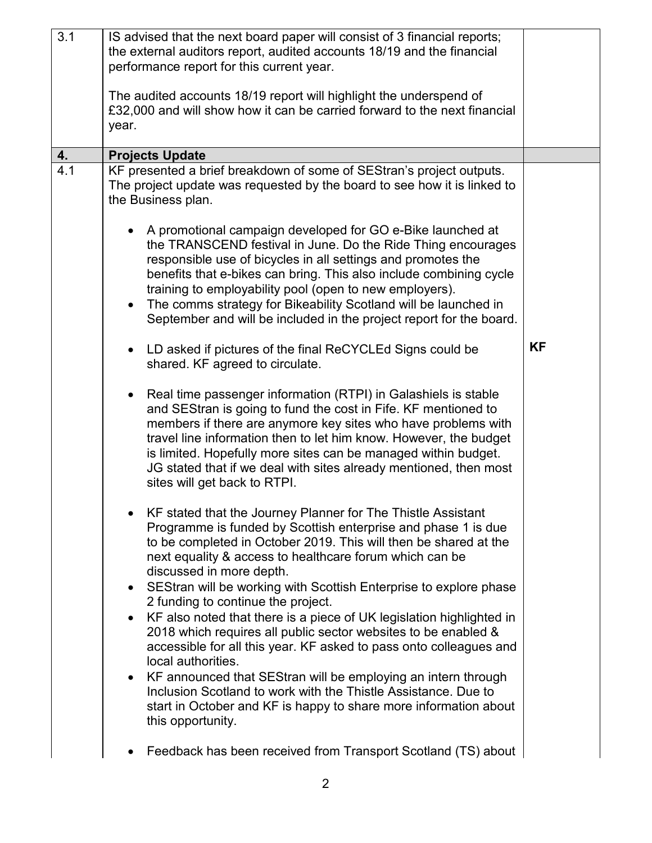| 3.1 | IS advised that the next board paper will consist of 3 financial reports;<br>the external auditors report, audited accounts 18/19 and the financial<br>performance report for this current year.                                                                                                                                                                                                                                                                      |           |
|-----|-----------------------------------------------------------------------------------------------------------------------------------------------------------------------------------------------------------------------------------------------------------------------------------------------------------------------------------------------------------------------------------------------------------------------------------------------------------------------|-----------|
|     | The audited accounts 18/19 report will highlight the underspend of<br>£32,000 and will show how it can be carried forward to the next financial<br>year.                                                                                                                                                                                                                                                                                                              |           |
| 4.  | <b>Projects Update</b>                                                                                                                                                                                                                                                                                                                                                                                                                                                |           |
| 4.1 | KF presented a brief breakdown of some of SEStran's project outputs.<br>The project update was requested by the board to see how it is linked to<br>the Business plan.                                                                                                                                                                                                                                                                                                |           |
|     | A promotional campaign developed for GO e-Bike launched at<br>the TRANSCEND festival in June. Do the Ride Thing encourages<br>responsible use of bicycles in all settings and promotes the<br>benefits that e-bikes can bring. This also include combining cycle<br>training to employability pool (open to new employers).<br>The comms strategy for Bikeability Scotland will be launched in<br>September and will be included in the project report for the board. |           |
|     | LD asked if pictures of the final ReCYCLEd Signs could be<br>shared. KF agreed to circulate.                                                                                                                                                                                                                                                                                                                                                                          | <b>KF</b> |
|     | Real time passenger information (RTPI) in Galashiels is stable<br>and SEStran is going to fund the cost in Fife. KF mentioned to<br>members if there are anymore key sites who have problems with<br>travel line information then to let him know. However, the budget<br>is limited. Hopefully more sites can be managed within budget.<br>JG stated that if we deal with sites already mentioned, then most<br>sites will get back to RTPI.                         |           |
|     | KF stated that the Journey Planner for The Thistle Assistant<br>Programme is funded by Scottish enterprise and phase 1 is due<br>to be completed in October 2019. This will then be shared at the<br>next equality & access to healthcare forum which can be<br>discussed in more depth.<br>SEStran will be working with Scottish Enterprise to explore phase<br>$\bullet$                                                                                            |           |
|     | 2 funding to continue the project.<br>KF also noted that there is a piece of UK legislation highlighted in<br>2018 which requires all public sector websites to be enabled &<br>accessible for all this year. KF asked to pass onto colleagues and<br>local authorities.                                                                                                                                                                                              |           |
|     | KF announced that SEStran will be employing an intern through<br>$\bullet$<br>Inclusion Scotland to work with the Thistle Assistance. Due to<br>start in October and KF is happy to share more information about<br>this opportunity.                                                                                                                                                                                                                                 |           |
|     | Feedback has been received from Transport Scotland (TS) about                                                                                                                                                                                                                                                                                                                                                                                                         |           |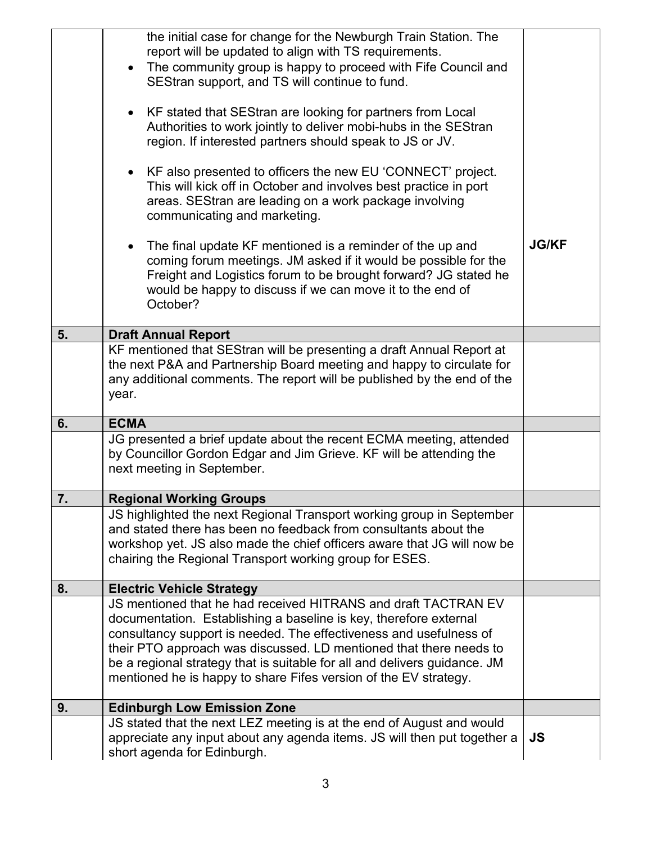|    | the initial case for change for the Newburgh Train Station. The                                         |              |
|----|---------------------------------------------------------------------------------------------------------|--------------|
|    | report will be updated to align with TS requirements.                                                   |              |
|    | The community group is happy to proceed with Fife Council and                                           |              |
|    | SEStran support, and TS will continue to fund.                                                          |              |
|    |                                                                                                         |              |
|    | KF stated that SEStran are looking for partners from Local                                              |              |
|    | Authorities to work jointly to deliver mobi-hubs in the SEStran                                         |              |
|    | region. If interested partners should speak to JS or JV.                                                |              |
|    |                                                                                                         |              |
|    | KF also presented to officers the new EU 'CONNECT' project.                                             |              |
|    | This will kick off in October and involves best practice in port                                        |              |
|    | areas. SEStran are leading on a work package involving                                                  |              |
|    | communicating and marketing.                                                                            |              |
|    |                                                                                                         |              |
|    | The final update KF mentioned is a reminder of the up and                                               | <b>JG/KF</b> |
|    | coming forum meetings. JM asked if it would be possible for the                                         |              |
|    | Freight and Logistics forum to be brought forward? JG stated he                                         |              |
|    | would be happy to discuss if we can move it to the end of                                               |              |
|    | October?                                                                                                |              |
|    |                                                                                                         |              |
| 5. | <b>Draft Annual Report</b>                                                                              |              |
|    | KF mentioned that SEStran will be presenting a draft Annual Report at                                   |              |
|    | the next P&A and Partnership Board meeting and happy to circulate for                                   |              |
|    | any additional comments. The report will be published by the end of the                                 |              |
|    | year.                                                                                                   |              |
|    |                                                                                                         |              |
| 6. | <b>ECMA</b>                                                                                             |              |
|    | JG presented a brief update about the recent ECMA meeting, attended                                     |              |
|    | by Councillor Gordon Edgar and Jim Grieve. KF will be attending the                                     |              |
|    | next meeting in September.                                                                              |              |
|    |                                                                                                         |              |
| 7. | <b>Regional Working Groups</b>                                                                          |              |
|    | JS highlighted the next Regional Transport working group in September                                   |              |
|    | and stated there has been no feedback from consultants about the                                        |              |
|    | workshop yet. JS also made the chief officers aware that JG will now be                                 |              |
|    | chairing the Regional Transport working group for ESES.                                                 |              |
|    |                                                                                                         |              |
| 8. | <b>Electric Vehicle Strategy</b><br>JS mentioned that he had received HITRANS and draft TACTRAN EV      |              |
|    | documentation. Establishing a baseline is key, therefore external                                       |              |
|    | consultancy support is needed. The effectiveness and usefulness of                                      |              |
|    |                                                                                                         |              |
|    | their PTO approach was discussed. LD mentioned that there needs to                                      |              |
|    | be a regional strategy that is suitable for all and delivers guidance. JM                               |              |
|    | mentioned he is happy to share Fifes version of the EV strategy.                                        |              |
|    |                                                                                                         |              |
|    |                                                                                                         |              |
| 9. | <b>Edinburgh Low Emission Zone</b>                                                                      |              |
|    | JS stated that the next LEZ meeting is at the end of August and would                                   |              |
|    | appreciate any input about any agenda items. JS will then put together a<br>short agenda for Edinburgh. | JS           |